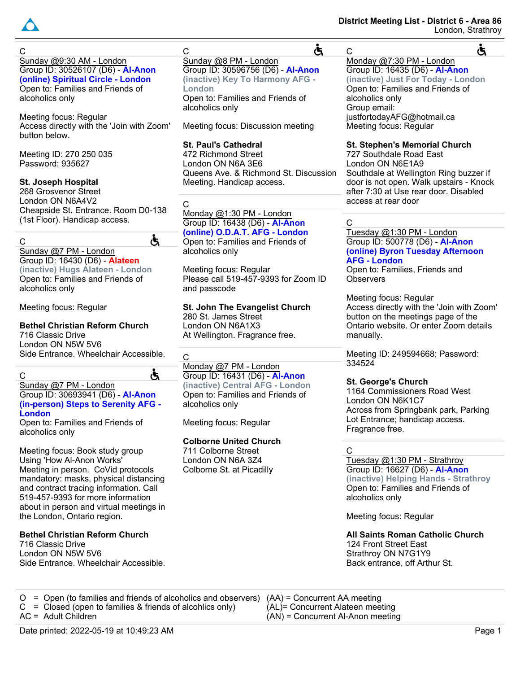

C Sunday @9:30 AM - London Group ID: 30526107 (D6) - **Al-Anon (online) Spiritual Circle - London** Open to: Families and Friends of alcoholics only

Meeting focus: Regular Access directly with the 'Join with Zoom' button below.

Meeting ID: 270 250 035 Password: 935627

## **St. Joseph Hospital**

268 Grosvenor Street London ON N6A4V2 Cheapside St. Entrance. Room D0-138 (1st Floor). Handicap access.

C

#### Sunday @7 PM - London Group ID: 16430 (D6) - **Alateen**

**(inactive) Hugs Alateen - London** Open to: Families and Friends of alcoholics only

Meeting focus: Regular

# **Bethel Christian Reform Church**

716 Classic Drive London ON N5W 5V6 Side Entrance. Wheelchair Accessible.

C

#### Sunday @7 PM - London Group ID: 30693941 (D6) - **Al-Anon (in-person) Steps to Serenity AFG - London**

Open to: Families and Friends of alcoholics only

Meeting focus: Book study group Using 'How Al-Anon Works' Meeting in person. CoVid protocols mandatory: masks, physical distancing and contract tracing information. Call 519-457-9393 for more information about in person and virtual meetings in the London, Ontario region.

# **Bethel Christian Reform Church**

716 Classic Drive London ON N5W 5V6 Side Entrance. Wheelchair Accessible.

#### C Sunday @8 PM - London

Group ID: 30596756 (D6) - **Al-Anon (inactive) Key To Harmony AFG - London** Open to: Families and Friends of alcoholics only

Meeting focus: Discussion meeting

#### **St. Paul's Cathedral** 472 Richmond Street London ON N6A 3E6

Queens Ave. & Richmond St. Discussion Meeting. Handicap access.

 $\overline{C}$ 

Ġ

Ġ

#### Monday @1:30 PM - London Group ID: 16438 (D6) - **Al-Anon (online) O.D.A.T. AFG - London**

Open to: Families and Friends of alcoholics only

Meeting focus: Regular Please call 519-457-9393 for Zoom ID and passcode

#### **St. John The Evangelist Church** 280 St. James Street

London ON N6A1X3 At Wellington. Fragrance free.

 $\overline{C}$ 

#### Monday @7 PM - London Group ID: 16431 (D6) - **Al-Anon (inactive) Central AFG - London** Open to: Families and Friends of alcoholics only

Meeting focus: Regular

# **Colborne United Church**

711 Colborne Street London ON N6A 3Z4 Colborne St. at Picadilly

## **District Meeting List - District 6 - Area 86** London, Strathroy

 $\overline{C}$ Ġ Monday @7:30 PM - London Group ID: 16435 (D6) - **Al-Anon (inactive) Just For Today - London** Open to: Families and Friends of alcoholics only Group email: justfortodayAFG@hotmail.ca Meeting focus: Regular

**St. Stephen's Memorial Church**

727 Southdale Road East London ON N6E1A9 Southdale at Wellington Ring buzzer if door is not open. Walk upstairs - Knock after 7:30 at Use rear door. Disabled access at rear door

# C

Ğ

Tuesday @1:30 PM - London Group ID: 500778 (D6) - **Al-Anon (online) Byron Tuesday Afternoon AFG - London**

Open to: Families, Friends and **Observers** 

Meeting focus: Regular Access directly with the 'Join with Zoom' button on the meetings page of the Ontario website. Or enter Zoom details manually.

Meeting ID: 249594668; Password: 334524

# **St. George's Church**

1164 Commissioners Road West London ON N6K1C7 Across from Springbank park, Parking Lot Entrance; handicap access. Fragrance free.

 $\mathcal{C}$ 

Tuesday @1:30 PM - Strathroy Group ID: 16627 (D6) - **Al-Anon (inactive) Helping Hands - Strathroy** Open to: Families and Friends of alcoholics only

Meeting focus: Regular

**All Saints Roman Catholic Church** 124 Front Street East Strathroy ON N7G1Y9 Back entrance, off Arthur St.

O = Open (to families and friends of alcoholics and observers)  $C = C$  closed (open to families & friends of alcohlics only) AC = Adult Children (AA) = Concurrent AA meeting (AL)= Concurrent Alateen meeting (AN) = Concurrent Al-Anon meeting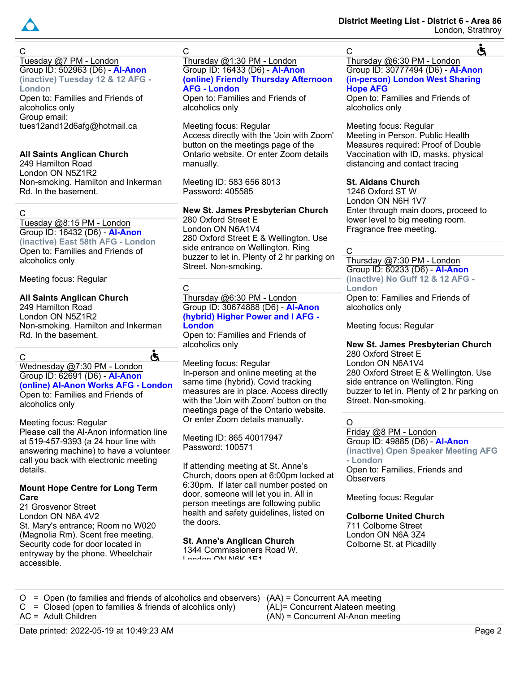

Ġ

C Tuesday @7 PM - London Group ID: 502963 (D6) - **Al-Anon (inactive) Tuesday 12 & 12 AFG - London**

Open to: Families and Friends of alcoholics only Group email: tues12and12d6afg@hotmail.ca

## **All Saints Anglican Church**

249 Hamilton Road London ON N5Z1R2 Non-smoking. Hamilton and Inkerman Rd. In the basement.

## C

Tuesday @8:15 PM - London Group ID: 16432 (D6) - **Al-Anon (inactive) East 58th AFG - London**

Open to: Families and Friends of alcoholics only

Meeting focus: Regular

## **All Saints Anglican Church**

249 Hamilton Road London ON N5Z1R2 Non-smoking. Hamilton and Inkerman Rd. In the basement.

Ğ  $\mathcal{C}$ Wednesday @7:30 PM - London Group ID: 62691 (D6) - **Al-Anon (online) Al-Anon Works AFG - London** Open to: Families and Friends of alcoholics only

Meeting focus: Regular Please call the Al-Anon information line at 519-457-9393 (a 24 hour line with answering machine) to have a volunteer call you back with electronic meeting details.

#### **Mount Hope Centre for Long Term Care**

21 Grosvenor Street London ON N6A 4V2 St. Mary's entrance; Room no W020 (Magnolia Rm). Scent free meeting. Security code for door located in entryway by the phone. Wheelchair accessible.

C

Thursday @1:30 PM - London Group ID: 16433 (D6) - **Al-Anon (online) Friendly Thursday Afternoon AFG - London**

Open to: Families and Friends of alcoholics only

Meeting focus: Regular Access directly with the 'Join with Zoom' button on the meetings page of the Ontario website. Or enter Zoom details manually.

Meeting ID: 583 656 8013 Password: 405585

# **New St. James Presbyterian Church**

280 Oxford Street E London ON N6A1V4 280 Oxford Street E & Wellington. Use side entrance on Wellington. Ring buzzer to let in. Plenty of 2 hr parking on Street. Non-smoking.

## C

Thursday @6:30 PM - London Group ID: 30674888 (D6) - **Al-Anon (hybrid) Higher Power and I AFG - London**

Open to: Families and Friends of alcoholics only

Meeting focus: Regular In-person and online meeting at the same time (hybrid). Covid tracking measures are in place. Access directly with the 'Join with Zoom' button on the meetings page of the Ontario website. Or enter Zoom details manually.

Meeting ID: 865 40017947 Password: 100571

If attending meeting at St. Anne's Church, doors open at 6:00pm locked at 6:30pm. If later call number posted on door, someone will let you in. All in person meetings are following public health and safety guidelines, listed on the doors.

# **St. Anne's Anglican Church**

1344 Commissioners Road W. London ON NIGK 1E1

Thursday @6:30 PM - London Group ID: 30777494 (D6) - **Al-Anon (in-person) London West Sharing Hope AFG**

Open to: Families and Friends of alcoholics only

Meeting focus: Regular Meeting in Person. Public Health Measures required: Proof of Double Vaccination with ID, masks, physical distancing and contact tracing

## **St. Aidans Church**

1246 Oxford ST W London ON N6H 1V7 Enter through main doors, proceed to lower level to big meeting room. Fragrance free meeting.

#### C

C

Thursday @7:30 PM - London Group ID: 60233 (D6) - **Al-Anon (inactive) No Guff 12 & 12 AFG - London**

Open to: Families and Friends of alcoholics only

Meeting focus: Regular

**New St. James Presbyterian Church** 280 Oxford Street E London ON N6A1V4 280 Oxford Street E & Wellington. Use side entrance on Wellington. Ring buzzer to let in. Plenty of 2 hr parking on Street. Non-smoking.

# $\Omega$

Friday @8 PM - London Group ID: 49885 (D6) - **Al-Anon (inactive) Open Speaker Meeting AFG - London**

Open to: Families, Friends and **Observers** 

Meeting focus: Regular

# **Colborne United Church**

711 Colborne Street London ON N6A 3Z4 Colborne St. at Picadilly

O = Open (to families and friends of alcoholics and observers)  $C = Closed$  (open to families & friends of alcohlics only) AC = Adult Children (AA) = Concurrent AA meeting (AL)= Concurrent Alateen meeting (AN) = Concurrent Al-Anon meeting